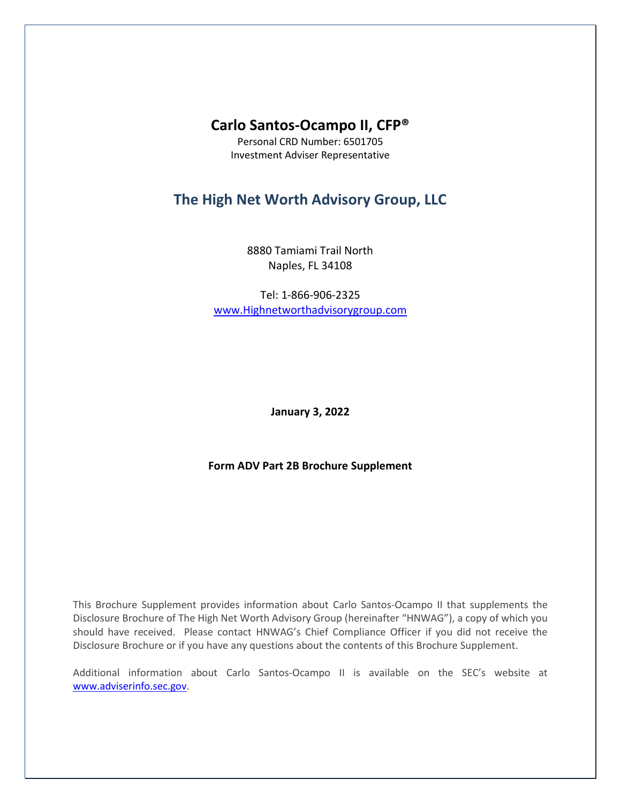# **Carlo Santos-Ocampo II, CFP®**

Personal CRD Number: 6501705 Investment Adviser Representative

# **The High Net Worth Advisory Group, LLC**

8880 Tamiami Trail North Naples, FL 34108

Tel: 1-866-906-2325 [www.Highnetworthadvisorygroup.com](http://www.highnetworthadvisorygroup.com/)

**January 3, 2022**

**Form ADV Part 2B Brochure Supplement**

This Brochure Supplement provides information about Carlo Santos-Ocampo II that supplements the Disclosure Brochure of The High Net Worth Advisory Group (hereinafter "HNWAG"), a copy of which you should have received. Please contact HNWAG's Chief Compliance Officer if you did not receive the Disclosure Brochure or if you have any questions about the contents of this Brochure Supplement.

Additional information about Carlo Santos-Ocampo II is available on the SEC's website at [www.adviserinfo.sec.gov.](http://www.adviserinfo.sec.gov/)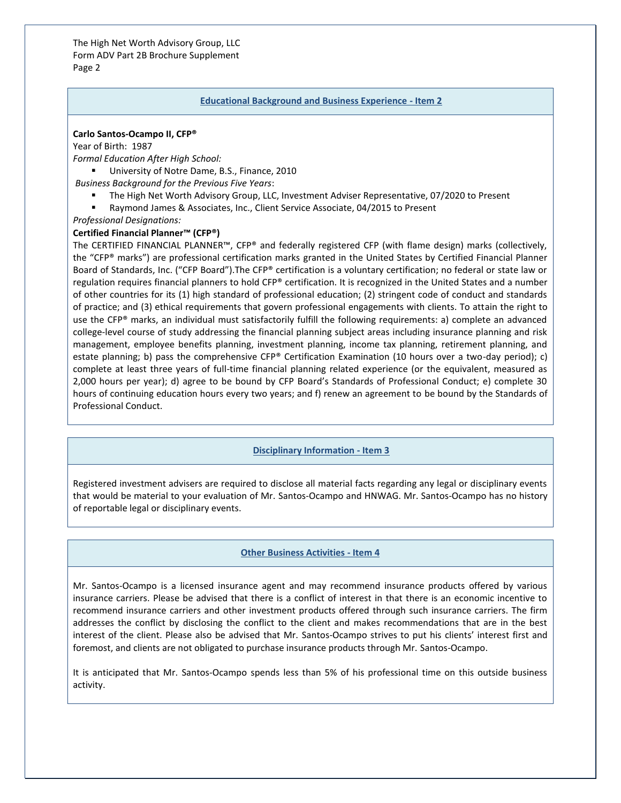The High Net Worth Advisory Group, LLC Form ADV Part 2B Brochure Supplement Page 2

#### **Educational Background and Business Experience - Item 2**

#### **Carlo Santos-Ocampo II, CFP®**

Year of Birth: 1987

*Formal Education After High School:*

■ University of Notre Dame, B.S., Finance, 2010

*Business Background for the Previous Five Years*:

- The High Net Worth Advisory Group, LLC, Investment Adviser Representative, 07/2020 to Present
- Raymond James & Associates, Inc., Client Service Associate, 04/2015 to Present

*Professional Designations:*

### **Certified Financial Planner™ (CFP®)**

The CERTIFIED FINANCIAL PLANNER™, CFP® and federally registered CFP (with flame design) marks (collectively, the "CFP® marks") are professional certification marks granted in the United States by Certified Financial Planner Board of Standards, Inc. ("CFP Board").The CFP® certification is a voluntary certification; no federal or state law or regulation requires financial planners to hold CFP® certification. It is recognized in the United States and a number of other countries for its (1) high standard of professional education; (2) stringent code of conduct and standards of practice; and (3) ethical requirements that govern professional engagements with clients. To attain the right to use the CFP® marks, an individual must satisfactorily fulfill the following requirements: a) complete an advanced college-level course of study addressing the financial planning subject areas including insurance planning and risk management, employee benefits planning, investment planning, income tax planning, retirement planning, and estate planning; b) pass the comprehensive CFP® Certification Examination (10 hours over a two-day period); c) complete at least three years of full-time financial planning related experience (or the equivalent, measured as 2,000 hours per year); d) agree to be bound by CFP Board's Standards of Professional Conduct; e) complete 30 hours of continuing education hours every two years; and f) renew an agreement to be bound by the Standards of Professional Conduct.

## **Disciplinary Information - Item 3**

Registered investment advisers are required to disclose all material facts regarding any legal or disciplinary events that would be material to your evaluation of Mr. Santos-Ocampo and HNWAG. Mr. Santos-Ocampo has no history of reportable legal or disciplinary events.

#### **Other Business Activities - Item 4**

Mr. Santos-Ocampo is a licensed insurance agent and may recommend insurance products offered by various insurance carriers. Please be advised that there is a conflict of interest in that there is an economic incentive to recommend insurance carriers and other investment products offered through such insurance carriers. The firm addresses the conflict by disclosing the conflict to the client and makes recommendations that are in the best interest of the client. Please also be advised that Mr. Santos-Ocampo strives to put his clients' interest first and foremost, and clients are not obligated to purchase insurance products through Mr. Santos-Ocampo.

It is anticipated that Mr. Santos-Ocampo spends less than 5% of his professional time on this outside business activity.